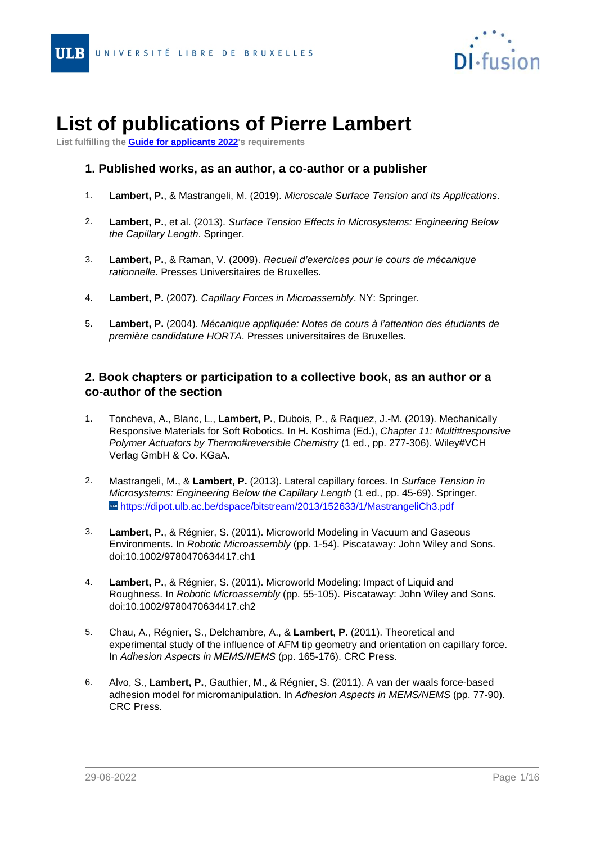

# <span id="page-0-0"></span>- **List of publications of Pierre Lambert**

**List fulfilling the [Guide for applicants 2022](http://www.fnrs.be/docs/Reglement-et-documents/FRS-FNRS_Guide_proposant_2022_EN.pdf)'s requirements**

## **1. Published works, as an author, a co-author or a publisher**

- 1. **Lambert, P.**, & Mastrangeli, M. (2019). Microscale Surface Tension and its Applications.
- 2. **Lambert, P.**, et al. (2013). Surface Tension Effects in Microsystems: Engineering Below the Capillary Length. Springer.
- 3. **Lambert, P.**, & Raman, V. (2009). Recueil d'exercices pour le cours de mécanique rationnelle. Presses Universitaires de Bruxelles.
- 4. **Lambert, P.** (2007). Capillary Forces in Microassembly. NY: Springer.
- 5. **Lambert, P.** (2004). Mécanique appliquée: Notes de cours à l'attention des étudiants de première candidature HORTA. Presses universitaires de Bruxelles.

## **2. Book chapters or participation to a collective book, as an author or a co-author of the section**

- 1. Toncheva, A., Blanc, L., **Lambert, P.**, Dubois, P., & Raquez, J.-M. (2019). Mechanically Responsive Materials for Soft Robotics. In H. Koshima (Ed.), Chapter 11: Multi#responsive Polymer Actuators by Thermo#reversible Chemistry (1 ed., pp. 277-306). Wiley#VCH Verlag GmbH & Co. KGaA.
- 2. Mastrangeli, M., & **Lambert, P.** (2013). Lateral capillary forces. In Surface Tension in Microsystems: Engineering Below the Capillary Length (1 ed., pp. 45-69). Springer. wahttps://dipot.ulb.ac.be/dspace/bitstream/2013/152633/1/MastrangeliCh3.pdf
- 3. **Lambert, P.**, & Régnier, S. (2011). Microworld Modeling in Vacuum and Gaseous Environments. In Robotic Microassembly (pp. 1-54). Piscataway: John Wiley and Sons. doi:10.1002/9780470634417.ch1
- 4. **Lambert, P.**, & Régnier, S. (2011). Microworld Modeling: Impact of Liquid and Roughness. In Robotic Microassembly (pp. 55-105). Piscataway: John Wiley and Sons. doi:10.1002/9780470634417.ch2
- 5. Chau, A., Régnier, S., Delchambre, A., & **Lambert, P.** (2011). Theoretical and experimental study of the influence of AFM tip geometry and orientation on capillary force. In Adhesion Aspects in MEMS/NEMS (pp. 165-176). CRC Press.
- 6. Alvo, S., **Lambert, P.**, Gauthier, M., & Régnier, S. (2011). A van der waals force-based adhesion model for micromanipulation. In Adhesion Aspects in MEMS/NEMS (pp. 77-90). CRC Press.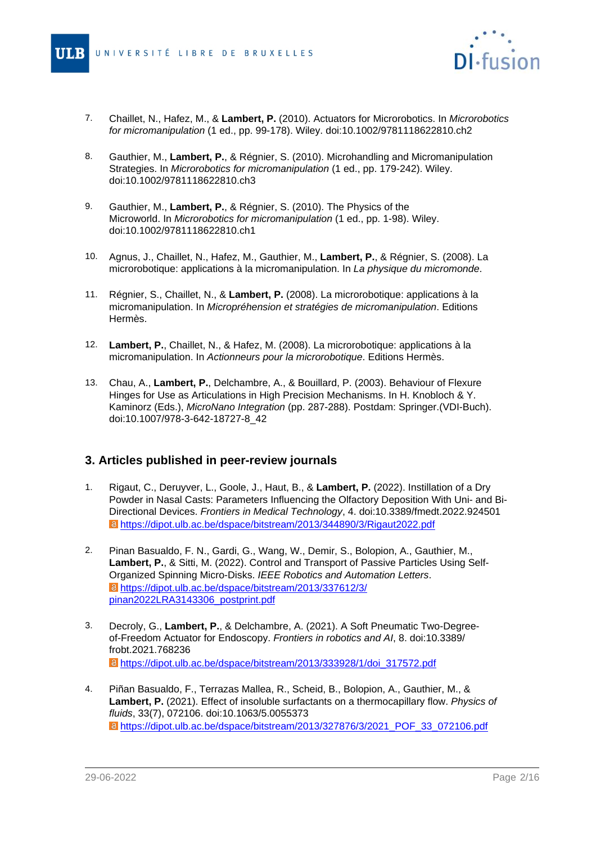

- 7. 7. Chaillet, N., Hafez, M., & **Lambert, P.** (2010). Actuators for Microrobotics. In Microrobotics for micromanipulation (1 ed., pp. 99-178). Wiley. doi:10.1002/9781118622810.ch2
- 8. Gauthier, M., **Lambert, P.**, & Régnier, S. (2010). Microhandling and Micromanipulation Strategies. In Microrobotics for micromanipulation (1 ed., pp. 179-242). Wiley. doi:10.1002/9781118622810.ch3
- 9. Gauthier, M., **Lambert, P.**, & Régnier, S. (2010). The Physics of the Microworld. In Microrobotics for micromanipulation (1 ed., pp. 1-98). Wiley. doi:10.1002/9781118622810.ch1
- 10. Agnus, J., Chaillet, N., Hafez, M., Gauthier, M., **Lambert, P.**, & Régnier, S. (2008). La microrobotique: applications à la micromanipulation. In La physique du micromonde.
- 11. Régnier, S., Chaillet, N., & **Lambert, P.** (2008). La microrobotique: applications à la micromanipulation. In Micropréhension et stratégies de micromanipulation. Editions Hermès.
- 12. **Lambert, P.**, Chaillet, N., & Hafez, M. (2008). La microrobotique: applications à la micromanipulation. In Actionneurs pour la microrobotique. Editions Hermès.
- 13. Chau, A., **Lambert, P.**, Delchambre, A., & Bouillard, P. (2003). Behaviour of Flexure Hinges for Use as Articulations in High Precision Mechanisms. In H. Knobloch & Y. Kaminorz (Eds.), MicroNano Integration (pp. 287-288). Postdam: Springer.(VDI-Buch). doi:10.1007/978-3-642-18727-8\_42

#### **3. Articles published in peer-review journals**

- 1. Rigaut, C., Deruyver, L., Goole, J., Haut, B., & **Lambert, P.** (2022). Instillation of a Dry Powder in Nasal Casts: Parameters Influencing the Olfactory Deposition With Uni- and Bi-Directional Devices. Frontiers in Medical Technology, 4. doi:10.3389/fmedt.2022.924501 [https://dipot.ulb.ac.be/dspace/bitstream/2013/344890/3/Rigaut2022.pdf](#page-0-0)
- 2. Pinan Basualdo, F. N., Gardi, G., Wang, W., Demir, S., Bolopion, A., Gauthier, M., **Lambert, P.**, & Sitti, M. (2022). Control and Transport of Passive Particles Using Self-Organized Spinning Micro-Disks. IEEE Robotics and Automation Letters. [https://dipot.ulb.ac.be/dspace/bitstream/2013/337612/3/](#page-0-0) [pinan2022LRA3143306\\_postprint.pdf](#page-0-0)
- 3. Decroly, G., **Lambert, P.**, & Delchambre, A. (2021). A Soft Pneumatic Two-Degreeof-Freedom Actuator for Endoscopy. Frontiers in robotics and AI, 8. doi:10.3389/ frobt.2021.768236 [https://dipot.ulb.ac.be/dspace/bitstream/2013/333928/1/doi\\_317572.pdf](#page-0-0)
- 4. Piñan Basualdo, F., Terrazas Mallea, R., Scheid, B., Bolopion, A., Gauthier, M., & **Lambert, P.** (2021). Effect of insoluble surfactants on a thermocapillary flow. Physics of fluids, 33(7), 072106. doi:10.1063/5.0055373 [https://dipot.ulb.ac.be/dspace/bitstream/2013/327876/3/2021\\_POF\\_33\\_072106.pdf](#page-0-0)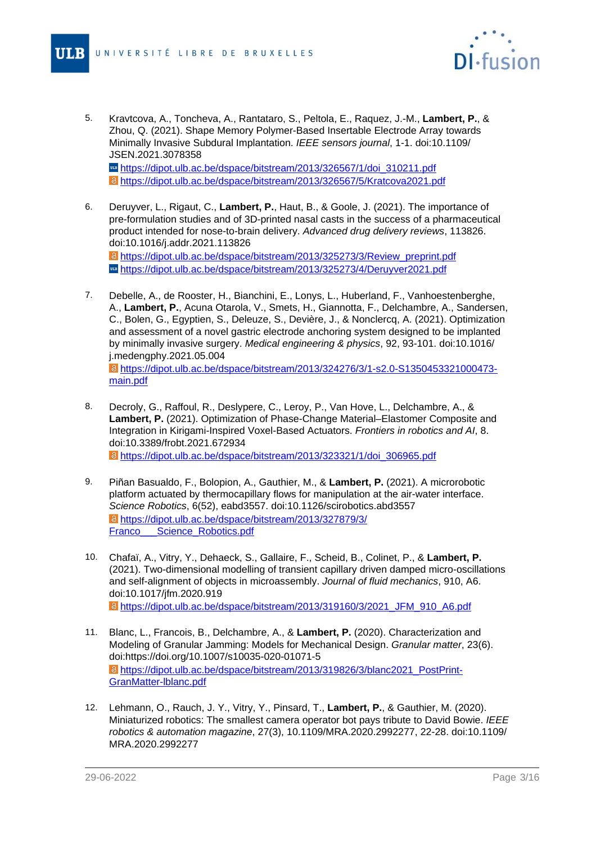

- 5. 5. Kravtcova, A., Toncheva, A., Rantataro, S., Peltola, E., Raquez, J.-M., **Lambert, P.**, & Zhou, Q. (2021). Shape Memory Polymer-Based Insertable Electrode Array towards Minimally Invasive Subdural Implantation. IEEE sensors journal, 1-1. doi:10.1109/ JSEN.2021.3078358 m [https://dipot.ulb.ac.be/dspace/bitstream/2013/326567/1/doi\\_310211.pdf](#page-0-0) [https://dipot.ulb.ac.be/dspace/bitstream/2013/326567/5/Kratcova2021.pdf](#page-0-0)
- 6. Deruyver, L., Rigaut, C., **Lambert, P.**, Haut, B., & Goole, J. (2021). The importance of pre-formulation studies and of 3D-printed nasal casts in the success of a pharmaceutical product intended for nose-to-brain delivery. Advanced drug delivery reviews, 113826. doi:10.1016/j.addr.2021.113826 [https://dipot.ulb.ac.be/dspace/bitstream/2013/325273/3/Review\\_preprint.pdf](#page-0-0) [https://dipot.ulb.ac.be/dspace/bitstream/2013/325273/4/Deruyver2021.pdf](#page-0-0)
- 7. Debelle, A., de Rooster, H., Bianchini, E., Lonys, L., Huberland, F., Vanhoestenberghe, A., **Lambert, P.**, Acuna Otarola, V., Smets, H., Giannotta, F., Delchambre, A., Sandersen, C., Bolen, G., Egyptien, S., Deleuze, S., Devière, J., & Nonclercq, A. (2021). Optimization and assessment of a novel gastric electrode anchoring system designed to be implanted by minimally invasive surgery. Medical engineering & physics, 92, 93-101. doi:10.1016/ j.medengphy.2021.05.004 [https://dipot.ulb.ac.be/dspace/bitstream/2013/324276/3/1-s2.0-S1350453321000473](#page-0-0) [main.pdf](#page-0-0)
- 8. Decroly, G., Raffoul, R., Deslypere, C., Leroy, P., Van Hove, L., Delchambre, A., & **Lambert, P.** (2021). Optimization of Phase-Change Material–Elastomer Composite and Integration in Kirigami-Inspired Voxel-Based Actuators. Frontiers in robotics and AI, 8. doi:10.3389/frobt.2021.672934 [https://dipot.ulb.ac.be/dspace/bitstream/2013/323321/1/doi\\_306965.pdf](#page-0-0)
- 9. Piñan Basualdo, F., Bolopion, A., Gauthier, M., & **Lambert, P.** (2021). A microrobotic platform actuated by thermocapillary flows for manipulation at the air-water interface. Science Robotics, 6(52), eabd3557. doi:10.1126/scirobotics.abd3557
- [https://dipot.ulb.ac.be/dspace/bitstream/2013/327879/3/](#page-0-0) Franco Science Robotics.pdf 10. Chafaï, A., Vitry, Y., Dehaeck, S., Gallaire, F., Scheid, B., Colinet, P., & **Lambert, P.**
- (2021). Two-dimensional modelling of transient capillary driven damped micro-oscillations and self-alignment of objects in microassembly. Journal of fluid mechanics, 910, A6. doi:10.1017/jfm.2020.919 [https://dipot.ulb.ac.be/dspace/bitstream/2013/319160/3/2021\\_JFM\\_910\\_A6.pdf](#page-0-0)
- 11. Blanc, L., Francois, B., Delchambre, A., & **Lambert, P.** (2020). Characterization and Modeling of Granular Jamming: Models for Mechanical Design. Granular matter, 23(6). doi:https://doi.org/10.1007/s10035-020-01071-5 [https://dipot.ulb.ac.be/dspace/bitstream/2013/319826/3/blanc2021\\_PostPrint-](#page-0-0)[GranMatter-lblanc.pdf](#page-0-0)
- 12. Lehmann, O., Rauch, J. Y., Vitry, Y., Pinsard, T., **Lambert, P.**, & Gauthier, M. (2020). Miniaturized robotics: The smallest camera operator bot pays tribute to David Bowie. IEEE robotics & automation magazine, 27(3), 10.1109/MRA.2020.2992277, 22-28. doi:10.1109/ MRA.2020.2992277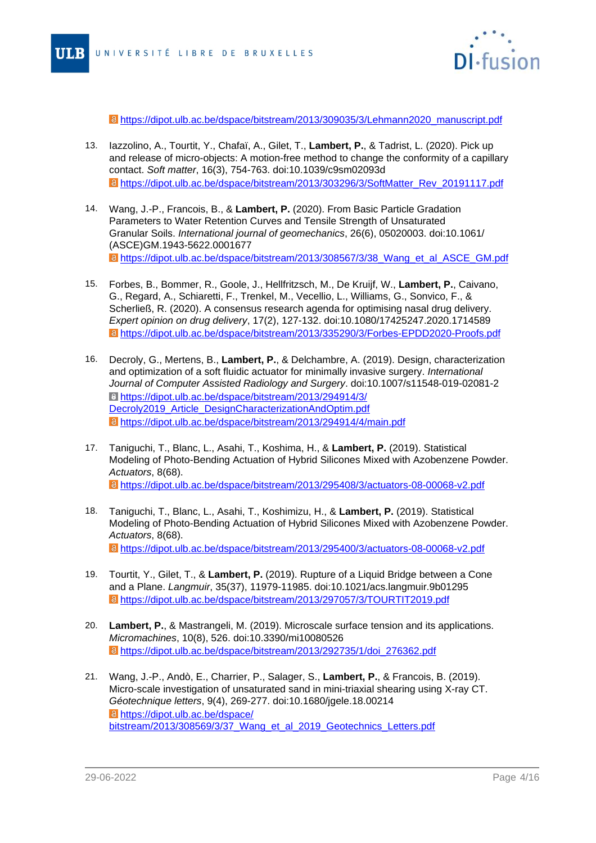

[https://dipot.ulb.ac.be/dspace/bitstream/2013/309035/3/Lehmann2020\\_manuscript.pdf](#page-0-0)

- 13. Iazzolino, A., Tourtit, Y., Chafaï, A., Gilet, T., **Lambert, P.**, & Tadrist, L. (2020). Pick up and release of micro-objects: A motion-free method to change the conformity of a capillary contact. Soft matter, 16(3), 754-763. doi:10.1039/c9sm02093d [https://dipot.ulb.ac.be/dspace/bitstream/2013/303296/3/SoftMatter\\_Rev\\_20191117.pdf](#page-0-0)
- 14. Wang, J.-P., Francois, B., & **Lambert, P.** (2020). From Basic Particle Gradation Parameters to Water Retention Curves and Tensile Strength of Unsaturated Granular Soils. International journal of geomechanics, 26(6), 05020003. doi:10.1061/ (ASCE)GM.1943-5622.0001677 **a** [https://dipot.ulb.ac.be/dspace/bitstream/2013/308567/3/38\\_Wang\\_et\\_al\\_ASCE\\_GM.pdf](#page-0-0)
- 15. Forbes, B., Bommer, R., Goole, J., Hellfritzsch, M., De Kruijf, W., **Lambert, P.**, Caivano, G., Regard, A., Schiaretti, F., Trenkel, M., Vecellio, L., Williams, G., Sonvico, F., & Scherließ, R. (2020). A consensus research agenda for optimising nasal drug delivery. Expert opinion on drug delivery, 17(2), 127-132. doi:10.1080/17425247.2020.1714589 [https://dipot.ulb.ac.be/dspace/bitstream/2013/335290/3/Forbes-EPDD2020-Proofs.pdf](#page-0-0)
- 16. Decroly, G., Mertens, B., **Lambert, P.**, & Delchambre, A. (2019). Design, characterization and optimization of a soft fluidic actuator for minimally invasive surgery. International Journal of Computer Assisted Radiology and Surgery. doi:10.1007/s11548-019-02081-2 [https://dipot.ulb.ac.be/dspace/bitstream/2013/294914/3/](#page-0-0) [Decroly2019\\_Article\\_DesignCharacterizationAndOptim.pdf](#page-0-0) [https://dipot.ulb.ac.be/dspace/bitstream/2013/294914/4/main.pdf](#page-0-0)
- 17. Taniguchi, T., Blanc, L., Asahi, T., Koshima, H., & **Lambert, P.** (2019). Statistical Modeling of Photo-Bending Actuation of Hybrid Silicones Mixed with Azobenzene Powder. Actuators, 8(68). [https://dipot.ulb.ac.be/dspace/bitstream/2013/295408/3/actuators-08-00068-v2.pdf](#page-0-0)
- 18. Taniguchi, T., Blanc, L., Asahi, T., Koshimizu, H., & **Lambert, P.** (2019). Statistical Modeling of Photo-Bending Actuation of Hybrid Silicones Mixed with Azobenzene Powder. Actuators, 8(68). [https://dipot.ulb.ac.be/dspace/bitstream/2013/295400/3/actuators-08-00068-v2.pdf](#page-0-0)
- 19. Tourtit, Y., Gilet, T., & **Lambert, P.** (2019). Rupture of a Liquid Bridge between a Cone and a Plane. Langmuir, 35(37), 11979-11985. doi:10.1021/acs.langmuir.9b01295 [https://dipot.ulb.ac.be/dspace/bitstream/2013/297057/3/TOURTIT2019.pdf](#page-0-0)
- 20. **Lambert, P.**, & Mastrangeli, M. (2019). Microscale surface tension and its applications. Micromachines, 10(8), 526. doi:10.3390/mi10080526 [https://dipot.ulb.ac.be/dspace/bitstream/2013/292735/1/doi\\_276362.pdf](#page-0-0)
- 21. Wang, J.-P., Andò, E., Charrier, P., Salager, S., **Lambert, P.**, & Francois, B. (2019). Micro-scale investigation of unsaturated sand in mini-triaxial shearing using X-ray CT. Géotechnique letters, 9(4), 269-277. doi:10.1680/jgele.18.00214 [https://dipot.ulb.ac.be/dspace/](#page-0-0) [bitstream/2013/308569/3/37\\_Wang\\_et\\_al\\_2019\\_Geotechnics\\_Letters.pdf](#page-0-0)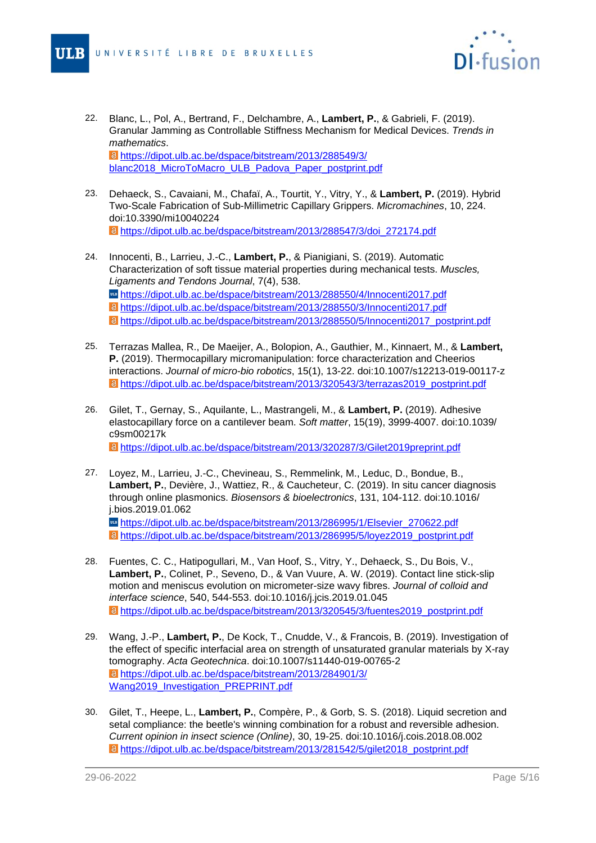

- 22. Blanc, L., Pol, A., Bertrand, F., Delchambre, A., **Lambert, P.**, & Gabrieli, F. (2019). Granular Jamming as Controllable Stiffness Mechanism for Medical Devices. Trends in mathematics. [https://dipot.ulb.ac.be/dspace/bitstream/2013/288549/3/](#page-0-0) [blanc2018\\_MicroToMacro\\_ULB\\_Padova\\_Paper\\_postprint.pdf](#page-0-0)
- 23. Dehaeck, S., Cavaiani, M., Chafaï, A., Tourtit, Y., Vitry, Y., & **Lambert, P.** (2019). Hybrid Two-Scale Fabrication of Sub-Millimetric Capillary Grippers. Micromachines, 10, 224. doi:10.3390/mi10040224 [https://dipot.ulb.ac.be/dspace/bitstream/2013/288547/3/doi\\_272174.pdf](#page-0-0)
- 24. Innocenti, B., Larrieu, J.-C., **Lambert, P.**, & Pianigiani, S. (2019). Automatic Characterization of soft tissue material properties during mechanical tests. Muscles, Ligaments and Tendons Journal, 7(4), 538. [https://dipot.ulb.ac.be/dspace/bitstream/2013/288550/4/Innocenti2017.pdf](#page-0-0) [https://dipot.ulb.ac.be/dspace/bitstream/2013/288550/3/Innocenti2017.pdf](#page-0-0) [https://dipot.ulb.ac.be/dspace/bitstream/2013/288550/5/Innocenti2017\\_postprint.pdf](#page-0-0)
- 25. Terrazas Mallea, R., De Maeijer, A., Bolopion, A., Gauthier, M., Kinnaert, M., & **Lambert, P.** (2019). Thermocapillary micromanipulation: force characterization and Cheerios interactions. Journal of micro-bio robotics, 15(1), 13-22. doi:10.1007/s12213-019-00117-z [https://dipot.ulb.ac.be/dspace/bitstream/2013/320543/3/terrazas2019\\_postprint.pdf](#page-0-0)
- 26. Gilet, T., Gernay, S., Aquilante, L., Mastrangeli, M., & **Lambert, P.** (2019). Adhesive elastocapillary force on a cantilever beam. Soft matter, 15(19), 3999-4007. doi:10.1039/ c9sm00217k [https://dipot.ulb.ac.be/dspace/bitstream/2013/320287/3/Gilet2019preprint.pdf](#page-0-0)
- 27. Loyez, M., Larrieu, J.-C., Chevineau, S., Remmelink, M., Leduc, D., Bondue, B., **Lambert, P.**, Devière, J., Wattiez, R., & Caucheteur, C. (2019). In situ cancer diagnosis through online plasmonics. Biosensors & bioelectronics, 131, 104-112. doi:10.1016/ j.bios.2019.01.062 m [https://dipot.ulb.ac.be/dspace/bitstream/2013/286995/1/Elsevier\\_270622.pdf](#page-0-0) [https://dipot.ulb.ac.be/dspace/bitstream/2013/286995/5/loyez2019\\_postprint.pdf](#page-0-0)
- 28. Fuentes, C. C., Hatipogullari, M., Van Hoof, S., Vitry, Y., Dehaeck, S., Du Bois, V., **Lambert, P.**, Colinet, P., Seveno, D., & Van Vuure, A. W. (2019). Contact line stick-slip motion and meniscus evolution on micrometer-size wavy fibres. Journal of colloid and interface science, 540, 544-553. doi:10.1016/j.jcis.2019.01.045 [https://dipot.ulb.ac.be/dspace/bitstream/2013/320545/3/fuentes2019\\_postprint.pdf](#page-0-0)
- 29. Wang, J.-P., **Lambert, P.**, De Kock, T., Cnudde, V., & Francois, B. (2019). Investigation of the effect of specific interfacial area on strength of unsaturated granular materials by X-ray tomography. Acta Geotechnica. doi:10.1007/s11440-019-00765-2 [https://dipot.ulb.ac.be/dspace/bitstream/2013/284901/3/](#page-0-0) [Wang2019\\_Investigation\\_PREPRINT.pdf](#page-0-0)
- 30. Gilet, T., Heepe, L., **Lambert, P.**, Compère, P., & Gorb, S. S. (2018). Liquid secretion and setal compliance: the beetle's winning combination for a robust and reversible adhesion. Current opinion in insect science (Online), 30, 19-25. doi:10.1016/j.cois.2018.08.002 [https://dipot.ulb.ac.be/dspace/bitstream/2013/281542/5/gilet2018\\_postprint.pdf](#page-0-0)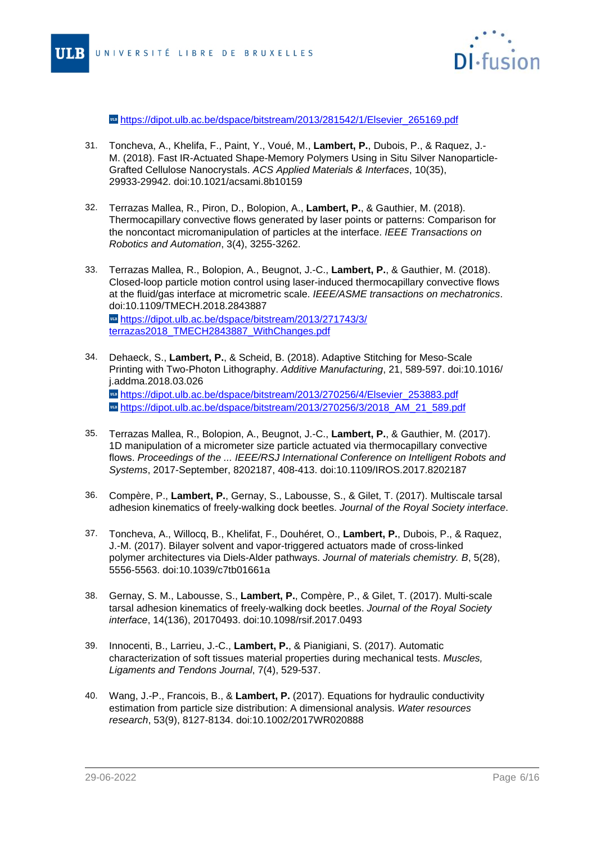

ware [https://dipot.ulb.ac.be/dspace/bitstream/2013/281542/1/Elsevier\\_265169.pdf](#page-0-0)

- 31. Toncheva, A., Khelifa, F., Paint, Y., Voué, M., **Lambert, P.**, Dubois, P., & Raquez, J.- M. (2018). Fast IR-Actuated Shape-Memory Polymers Using in Situ Silver Nanoparticle-Grafted Cellulose Nanocrystals. ACS Applied Materials & Interfaces, 10(35), 29933-29942. doi:10.1021/acsami.8b10159
- 32. Terrazas Mallea, R., Piron, D., Bolopion, A., **Lambert, P.**, & Gauthier, M. (2018). Thermocapillary convective flows generated by laser points or patterns: Comparison for the noncontact micromanipulation of particles at the interface. IEEE Transactions on Robotics and Automation, 3(4), 3255-3262.
- 33. Terrazas Mallea, R., Bolopion, A., Beugnot, J.-C., **Lambert, P.**, & Gauthier, M. (2018). Closed-loop particle motion control using laser-induced thermocapillary convective flows at the fluid/gas interface at micrometric scale. IEEE/ASME transactions on mechatronics. doi:10.1109/TMECH.2018.2843887 **un** [https://dipot.ulb.ac.be/dspace/bitstream/2013/271743/3/](#page-0-0) [terrazas2018\\_TMECH2843887\\_WithChanges.pdf](#page-0-0)
- 34. Dehaeck, S., **Lambert, P.**, & Scheid, B. (2018). Adaptive Stitching for Meso-Scale Printing with Two-Photon Lithography. Additive Manufacturing, 21, 589-597. doi:10.1016/ j.addma.2018.03.026 **under** [https://dipot.ulb.ac.be/dspace/bitstream/2013/270256/4/Elsevier\\_253883.pdf](#page-0-0) wa https://dipot.ulb.ac.be/dspace/bitstream/2013/270256/3/2018 AM\_21\_589.pdf
- 35. Terrazas Mallea, R., Bolopion, A., Beugnot, J.-C., **Lambert, P.**, & Gauthier, M. (2017). 1D manipulation of a micrometer size particle actuated via thermocapillary convective flows. Proceedings of the ... IEEE/RSJ International Conference on Intelligent Robots and Systems, 2017-September, 8202187, 408-413. doi:10.1109/IROS.2017.8202187
- 36. Compère, P., **Lambert, P.**, Gernay, S., Labousse, S., & Gilet, T. (2017). Multiscale tarsal adhesion kinematics of freely-walking dock beetles. Journal of the Royal Society interface.
- 37. Toncheva, A., Willocq, B., Khelifat, F., Douhéret, O., **Lambert, P.**, Dubois, P., & Raquez, J.-M. (2017). Bilayer solvent and vapor-triggered actuators made of cross-linked polymer architectures via Diels-Alder pathways. Journal of materials chemistry. B, 5(28), 5556-5563. doi:10.1039/c7tb01661a
- 38. Gernay, S. M., Labousse, S., **Lambert, P.**, Compère, P., & Gilet, T. (2017). Multi-scale tarsal adhesion kinematics of freely-walking dock beetles. Journal of the Royal Society interface, 14(136), 20170493. doi:10.1098/rsif.2017.0493
- 39. Innocenti, B., Larrieu, J.-C., **Lambert, P.**, & Pianigiani, S. (2017). Automatic characterization of soft tissues material properties during mechanical tests. Muscles, Ligaments and Tendons Journal, 7(4), 529-537.
- 40. Wang, J.-P., Francois, B., & **Lambert, P.** (2017). Equations for hydraulic conductivity estimation from particle size distribution: A dimensional analysis. Water resources research, 53(9), 8127-8134. doi:10.1002/2017WR020888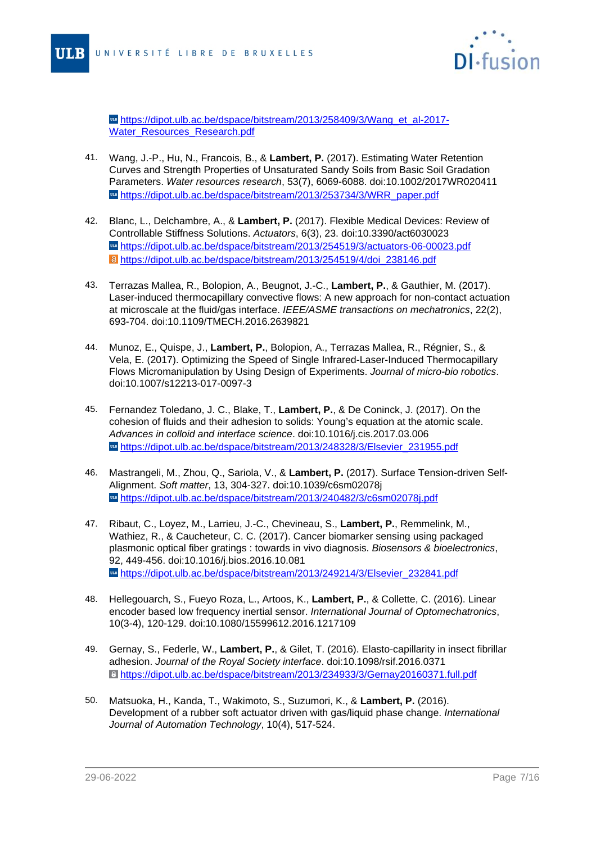

**[https://dipot.ulb.ac.be/dspace/bitstream/2013/258409/3/Wang\\_et\\_al-2017-](#page-0-0)** [Water\\_Resources\\_Research.pdf](#page-0-0)

- 41. Wang, J.-P., Hu, N., Francois, B., & **Lambert, P.** (2017). Estimating Water Retention Curves and Strength Properties of Unsaturated Sandy Soils from Basic Soil Gradation Parameters. Water resources research, 53(7), 6069-6088. doi:10.1002/2017WR020411 us [https://dipot.ulb.ac.be/dspace/bitstream/2013/253734/3/WRR\\_paper.pdf](#page-0-0)
- 42. Blanc, L., Delchambre, A., & **Lambert, P.** (2017). Flexible Medical Devices: Review of Controllable Stiffness Solutions. Actuators, 6(3), 23. doi:10.3390/act6030023 wattps://dipot.ulb.ac.be/dspace/bitstream/2013/254519/3/actuators-06-00023.pdf [https://dipot.ulb.ac.be/dspace/bitstream/2013/254519/4/doi\\_238146.pdf](#page-0-0)
- 43. Terrazas Mallea, R., Bolopion, A., Beugnot, J.-C., **Lambert, P.**, & Gauthier, M. (2017). Laser-induced thermocapillary convective flows: A new approach for non-contact actuation at microscale at the fluid/gas interface. IEEE/ASME transactions on mechatronics, 22(2), 693-704. doi:10.1109/TMECH.2016.2639821
- 44. Munoz, E., Quispe, J., **Lambert, P.**, Bolopion, A., Terrazas Mallea, R., Régnier, S., & Vela, E. (2017). Optimizing the Speed of Single Infrared-Laser-Induced Thermocapillary Flows Micromanipulation by Using Design of Experiments. Journal of micro-bio robotics. doi:10.1007/s12213-017-0097-3
- 45. Fernandez Toledano, J. C., Blake, T., **Lambert, P.**, & De Coninck, J. (2017). On the cohesion of fluids and their adhesion to solids: Young's equation at the atomic scale. Advances in colloid and interface science. doi:10.1016/j.cis.2017.03.006 **ug[https://dipot.ulb.ac.be/dspace/bitstream/2013/248328/3/Elsevier\\_231955.pdf](#page-0-0)**
- 46. Mastrangeli, M., Zhou, Q., Sariola, V., & **Lambert, P.** (2017). Surface Tension-driven Self-Alignment. Soft matter, 13, 304-327. doi:10.1039/c6sm02078j [https://dipot.ulb.ac.be/dspace/bitstream/2013/240482/3/c6sm02078j.pdf](#page-0-0)
- 47. Ribaut, C., Loyez, M., Larrieu, J.-C., Chevineau, S., **Lambert, P.**, Remmelink, M., Wathiez, R., & Caucheteur, C. C. (2017). Cancer biomarker sensing using packaged plasmonic optical fiber gratings : towards in vivo diagnosis. Biosensors & bioelectronics, 92, 449-456. doi:10.1016/j.bios.2016.10.081 m [https://dipot.ulb.ac.be/dspace/bitstream/2013/249214/3/Elsevier\\_232841.pdf](#page-0-0)
- 48. Hellegouarch, S., Fueyo Roza, L., Artoos, K., **Lambert, P.**, & Collette, C. (2016). Linear encoder based low frequency inertial sensor. International Journal of Optomechatronics, 10(3-4), 120-129. doi:10.1080/15599612.2016.1217109
- 49. Gernay, S., Federle, W., **Lambert, P.**, & Gilet, T. (2016). Elasto-capillarity in insect fibrillar adhesion. Journal of the Royal Society interface. doi:10.1098/rsif.2016.0371 [https://dipot.ulb.ac.be/dspace/bitstream/2013/234933/3/Gernay20160371.full.pdf](#page-0-0)
- 50. Matsuoka, H., Kanda, T., Wakimoto, S., Suzumori, K., & **Lambert, P.** (2016). Development of a rubber soft actuator driven with gas/liquid phase change. International Journal of Automation Technology, 10(4), 517-524.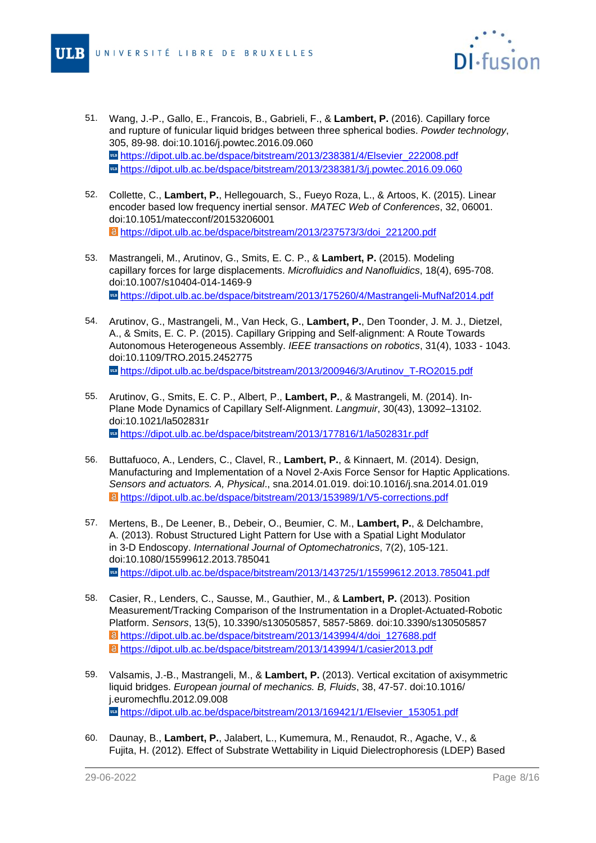

- 51. Wang, J.-P., Gallo, E., Francois, B., Gabrieli, F., & **Lambert, P.** (2016). Capillary force and rupture of funicular liquid bridges between three spherical bodies. Powder technology, 305, 89-98. doi:10.1016/j.powtec.2016.09.060 **Example:** [https://dipot.ulb.ac.be/dspace/bitstream/2013/238381/4/Elsevier\\_222008.pdf](#page-0-0) <https://dipot.ulb.ac.be/dspace/bitstream/2013/238381/3/j.powtec.2016.09.060>
- 52. Collette, C., **Lambert, P.**, Hellegouarch, S., Fueyo Roza, L., & Artoos, K. (2015). Linear encoder based low frequency inertial sensor. MATEC Web of Conferences, 32, 06001. doi:10.1051/matecconf/20153206001 [https://dipot.ulb.ac.be/dspace/bitstream/2013/237573/3/doi\\_221200.pdf](#page-0-0)
- 53. Mastrangeli, M., Arutinov, G., Smits, E. C. P., & **Lambert, P.** (2015). Modeling capillary forces for large displacements. Microfluidics and Nanofluidics, 18(4), 695-708. doi:10.1007/s10404-014-1469-9 [https://dipot.ulb.ac.be/dspace/bitstream/2013/175260/4/Mastrangeli-MufNaf2014.pdf](#page-0-0)
- 54. Arutinov, G., Mastrangeli, M., Van Heck, G., **Lambert, P.**, Den Toonder, J. M. J., Dietzel, A., & Smits, E. C. P. (2015). Capillary Gripping and Self-alignment: A Route Towards Autonomous Heterogeneous Assembly. IEEE transactions on robotics, 31(4), 1033 - 1043. doi:10.1109/TRO.2015.2452775 [https://dipot.ulb.ac.be/dspace/bitstream/2013/200946/3/Arutinov\\_T-RO2015.pdf](#page-0-0)
- 55. Arutinov, G., Smits, E. C. P., Albert, P., **Lambert, P.**, & Mastrangeli, M. (2014). In-Plane Mode Dynamics of Capillary Self-Alignment. Langmuir, 30(43), 13092–13102. doi:10.1021/la502831r **[https://dipot.ulb.ac.be/dspace/bitstream/2013/177816/1/la502831r.pdf](#page-0-0)**
- 56. Buttafuoco, A., Lenders, C., Clavel, R., **Lambert, P.**, & Kinnaert, M. (2014). Design, Manufacturing and Implementation of a Novel 2-Axis Force Sensor for Haptic Applications. Sensors and actuators. A, Physical., sna.2014.01.019. doi:10.1016/j.sna.2014.01.019 [https://dipot.ulb.ac.be/dspace/bitstream/2013/153989/1/V5-corrections.pdf](#page-0-0)
- 57. Mertens, B., De Leener, B., Debeir, O., Beumier, C. M., **Lambert, P.**, & Delchambre, A. (2013). Robust Structured Light Pattern for Use with a Spatial Light Modulator in 3-D Endoscopy. International Journal of Optomechatronics, 7(2), 105-121. doi:10.1080/15599612.2013.785041 [https://dipot.ulb.ac.be/dspace/bitstream/2013/143725/1/15599612.2013.785041.pdf](#page-0-0)
- 58. Casier, R., Lenders, C., Sausse, M., Gauthier, M., & **Lambert, P.** (2013). Position Measurement/Tracking Comparison of the Instrumentation in a Droplet-Actuated-Robotic Platform. Sensors, 13(5), 10.3390/s130505857, 5857-5869. doi:10.3390/s130505857 [https://dipot.ulb.ac.be/dspace/bitstream/2013/143994/4/doi\\_127688.pdf](#page-0-0) [https://dipot.ulb.ac.be/dspace/bitstream/2013/143994/1/casier2013.pdf](#page-0-0)
- 59. Valsamis, J.-B., Mastrangeli, M., & **Lambert, P.** (2013). Vertical excitation of axisymmetric liquid bridges. European journal of mechanics. B, Fluids, 38, 47-57. doi:10.1016/ j.euromechflu.2012.09.008 us [https://dipot.ulb.ac.be/dspace/bitstream/2013/169421/1/Elsevier\\_153051.pdf](#page-0-0)
- 60. Daunay, B., **Lambert, P.**, Jalabert, L., Kumemura, M., Renaudot, R., Agache, V., & Fujita, H. (2012). Effect of Substrate Wettability in Liquid Dielectrophoresis (LDEP) Based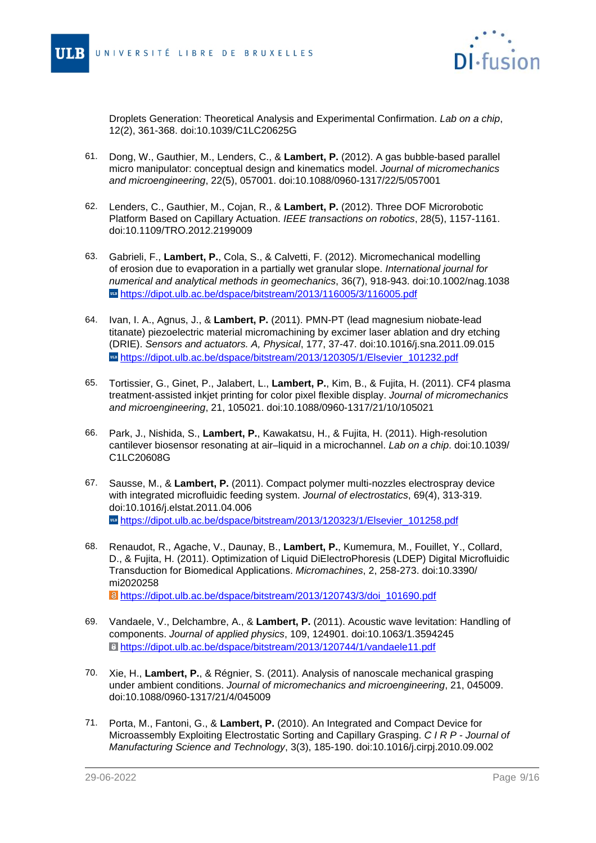

Droplets Generation: Theoretical Analysis and Experimental Confirmation. Lab on a chip, 12(2), 361-368. doi:10.1039/C1LC20625G

- 61. Dong, W., Gauthier, M., Lenders, C., & **Lambert, P.** (2012). A gas bubble-based parallel micro manipulator: conceptual design and kinematics model. Journal of micromechanics and microengineering, 22(5), 057001. doi:10.1088/0960-1317/22/5/057001
- 62. Lenders, C., Gauthier, M., Cojan, R., & **Lambert, P.** (2012). Three DOF Microrobotic Platform Based on Capillary Actuation. IEEE transactions on robotics, 28(5), 1157-1161. doi:10.1109/TRO.2012.2199009
- 63. Gabrieli, F., **Lambert, P.**, Cola, S., & Calvetti, F. (2012). Micromechanical modelling of erosion due to evaporation in a partially wet granular slope. International journal for numerical and analytical methods in geomechanics, 36(7), 918-943. doi:10.1002/nag.1038 **[https://dipot.ulb.ac.be/dspace/bitstream/2013/116005/3/116005.pdf](#page-0-0)**
- 64. Ivan, I. A., Agnus, J., & **Lambert, P.** (2011). PMN-PT (lead magnesium niobate-lead titanate) piezoelectric material micromachining by excimer laser ablation and dry etching (DRIE). Sensors and actuators. A, Physical, 177, 37-47. doi:10.1016/j.sna.2011.09.015 **ug[https://dipot.ulb.ac.be/dspace/bitstream/2013/120305/1/Elsevier\\_101232.pdf](#page-0-0)**
- 65. Tortissier, G., Ginet, P., Jalabert, L., **Lambert, P.**, Kim, B., & Fujita, H. (2011). CF4 plasma treatment-assisted inkjet printing for color pixel flexible display. Journal of micromechanics and microengineering, 21, 105021. doi:10.1088/0960-1317/21/10/105021
- 66. Park, J., Nishida, S., **Lambert, P.**, Kawakatsu, H., & Fujita, H. (2011). High-resolution cantilever biosensor resonating at air–liquid in a microchannel. Lab on a chip. doi:10.1039/ C1LC20608G
- 67. Sausse, M., & **Lambert, P.** (2011). Compact polymer multi-nozzles electrospray device with integrated microfluidic feeding system. Journal of electrostatics, 69(4), 313-319. doi:10.1016/j.elstat.2011.04.006 **us** [https://dipot.ulb.ac.be/dspace/bitstream/2013/120323/1/Elsevier\\_101258.pdf](#page-0-0)
- 68. Renaudot, R., Agache, V., Daunay, B., **Lambert, P.**, Kumemura, M., Fouillet, Y., Collard, D., & Fujita, H. (2011). Optimization of Liquid DiElectroPhoresis (LDEP) Digital Microfluidic Transduction for Biomedical Applications. Micromachines, 2, 258-273. doi:10.3390/ mi2020258

[https://dipot.ulb.ac.be/dspace/bitstream/2013/120743/3/doi\\_101690.pdf](#page-0-0)

- 69. Vandaele, V., Delchambre, A., & **Lambert, P.** (2011). Acoustic wave levitation: Handling of components. Journal of applied physics, 109, 124901. doi:10.1063/1.3594245 [https://dipot.ulb.ac.be/dspace/bitstream/2013/120744/1/vandaele11.pdf](#page-0-0)
- 70. Xie, H., **Lambert, P.**, & Régnier, S. (2011). Analysis of nanoscale mechanical grasping under ambient conditions. Journal of micromechanics and microengineering, 21, 045009. doi:10.1088/0960-1317/21/4/045009
- 71. Porta, M., Fantoni, G., & **Lambert, P.** (2010). An Integrated and Compact Device for Microassembly Exploiting Electrostatic Sorting and Capillary Grasping. C I R P - Journal of Manufacturing Science and Technology, 3(3), 185-190. doi:10.1016/j.cirpj.2010.09.002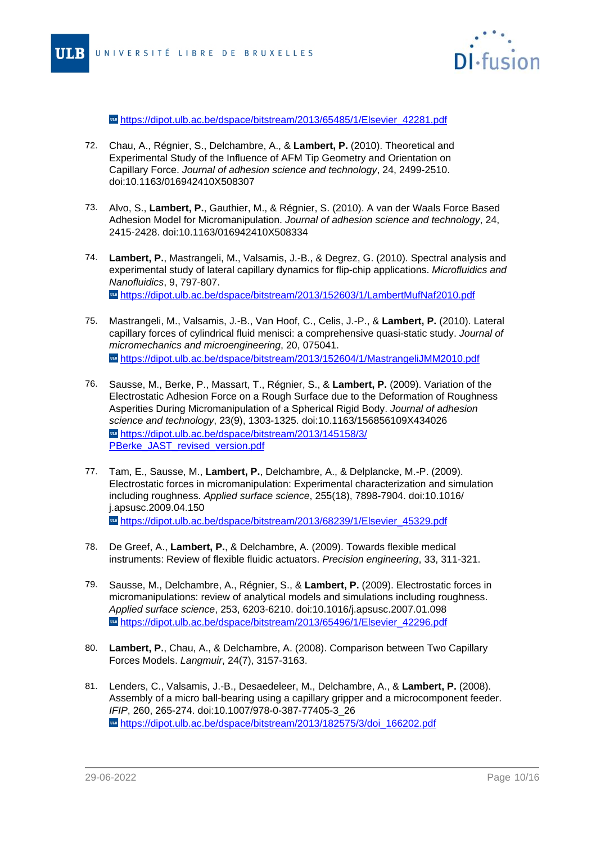

**[https://dipot.ulb.ac.be/dspace/bitstream/2013/65485/1/Elsevier\\_42281.pdf](#page-0-0)** 

- 72. Chau, A., Régnier, S., Delchambre, A., & **Lambert, P.** (2010). Theoretical and Experimental Study of the Influence of AFM Tip Geometry and Orientation on Capillary Force. Journal of adhesion science and technology, 24, 2499-2510. doi:10.1163/016942410X508307
- 73. Alvo, S., **Lambert, P.**, Gauthier, M., & Régnier, S. (2010). A van der Waals Force Based Adhesion Model for Micromanipulation. Journal of adhesion science and technology, 24, 2415-2428. doi:10.1163/016942410X508334
- 74. **Lambert, P.**, Mastrangeli, M., Valsamis, J.-B., & Degrez, G. (2010). Spectral analysis and experimental study of lateral capillary dynamics for flip-chip applications. Microfluidics and Nanofluidics, 9, 797-807. [https://dipot.ulb.ac.be/dspace/bitstream/2013/152603/1/LambertMufNaf2010.pdf](#page-0-0)
- 75. Mastrangeli, M., Valsamis, J.-B., Van Hoof, C., Celis, J.-P., & **Lambert, P.** (2010). Lateral capillary forces of cylindrical fluid menisci: a comprehensive quasi-static study. Journal of micromechanics and microengineering, 20, 075041. [https://dipot.ulb.ac.be/dspace/bitstream/2013/152604/1/MastrangeliJMM2010.pdf](#page-0-0)
- 76. Sausse, M., Berke, P., Massart, T., Régnier, S., & **Lambert, P.** (2009). Variation of the Electrostatic Adhesion Force on a Rough Surface due to the Deformation of Roughness Asperities During Micromanipulation of a Spherical Rigid Body. Journal of adhesion science and technology, 23(9), 1303-1325. doi:10.1163/156856109X434026 [https://dipot.ulb.ac.be/dspace/bitstream/2013/145158/3/](#page-0-0) [PBerke\\_JAST\\_revised\\_version.pdf](#page-0-0)
- 77. Tam, E., Sausse, M., **Lambert, P.**, Delchambre, A., & Delplancke, M.-P. (2009). Electrostatic forces in micromanipulation: Experimental characterization and simulation including roughness. Applied surface science, 255(18), 7898-7904. doi:10.1016/ j.apsusc.2009.04.150 **■ [https://dipot.ulb.ac.be/dspace/bitstream/2013/68239/1/Elsevier\\_45329.pdf](#page-0-0)**
- 78. De Greef, A., **Lambert, P.**, & Delchambre, A. (2009). Towards flexible medical instruments: Review of flexible fluidic actuators. Precision engineering, 33, 311-321.
- 79. Sausse, M., Delchambre, A., Régnier, S., & **Lambert, P.** (2009). Electrostatic forces in micromanipulations: review of analytical models and simulations including roughness. Applied surface science, 253, 6203-6210. doi:10.1016/j.apsusc.2007.01.098 **[https://dipot.ulb.ac.be/dspace/bitstream/2013/65496/1/Elsevier\\_42296.pdf](#page-0-0)**
- 80. **Lambert, P.**, Chau, A., & Delchambre, A. (2008). Comparison between Two Capillary Forces Models. Langmuir, 24(7), 3157-3163.
- 81. Lenders, C., Valsamis, J.-B., Desaedeleer, M., Delchambre, A., & **Lambert, P.** (2008). Assembly of a micro ball-bearing using a capillary gripper and a microcomponent feeder. IFIP, 260, 265-274. doi:10.1007/978-0-387-77405-3\_26 wa[https://dipot.ulb.ac.be/dspace/bitstream/2013/182575/3/doi\\_166202.pdf](#page-0-0)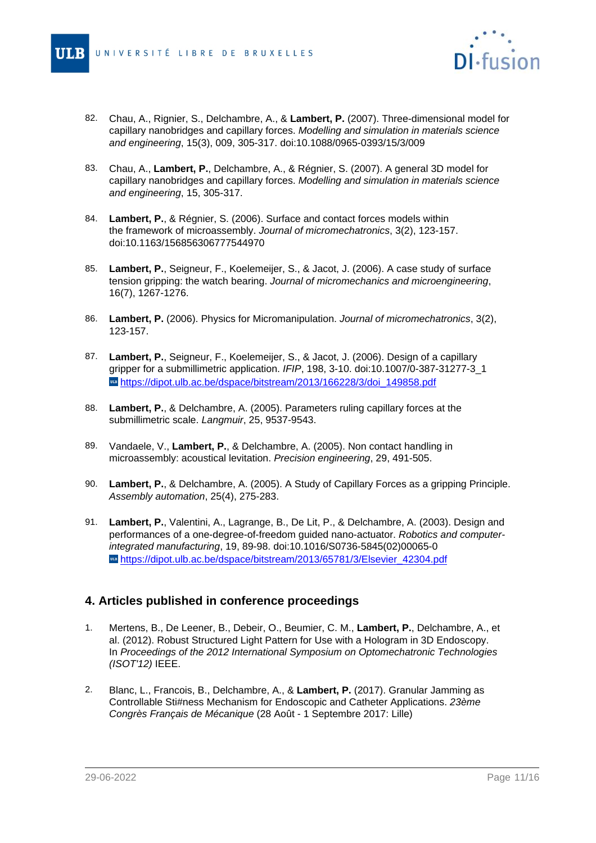

- 82. Chau, A., Rignier, S., Delchambre, A., & **Lambert, P.** (2007). Three-dimensional model for capillary nanobridges and capillary forces. Modelling and simulation in materials science and engineering, 15(3), 009, 305-317. doi:10.1088/0965-0393/15/3/009
- 83. Chau, A., **Lambert, P.**, Delchambre, A., & Régnier, S. (2007). A general 3D model for capillary nanobridges and capillary forces. Modelling and simulation in materials science and engineering, 15, 305-317.
- 84. **Lambert, P.**, & Régnier, S. (2006). Surface and contact forces models within the framework of microassembly. Journal of micromechatronics, 3(2), 123-157. doi:10.1163/156856306777544970
- 85. **Lambert, P.**, Seigneur, F., Koelemeijer, S., & Jacot, J. (2006). A case study of surface tension gripping: the watch bearing. Journal of micromechanics and microengineering, 16(7), 1267-1276.
- 86. **Lambert, P.** (2006). Physics for Micromanipulation. Journal of micromechatronics, 3(2), 123-157.
- 87. **Lambert, P.**, Seigneur, F., Koelemeijer, S., & Jacot, J. (2006). Design of a capillary gripper for a submillimetric application. IFIP, 198, 3-10. doi:10.1007/0-387-31277-3\_1 **[https://dipot.ulb.ac.be/dspace/bitstream/2013/166228/3/doi\\_149858.pdf](#page-0-0)**
- 88. **Lambert, P.**, & Delchambre, A. (2005). Parameters ruling capillary forces at the submillimetric scale. Langmuir, 25, 9537-9543.
- 89. Vandaele, V., **Lambert, P.**, & Delchambre, A. (2005). Non contact handling in microassembly: acoustical levitation. Precision engineering, 29, 491-505.
- 90. **Lambert, P.**, & Delchambre, A. (2005). A Study of Capillary Forces as a gripping Principle. Assembly automation, 25(4), 275-283.
- 91. **Lambert, P.**, Valentini, A., Lagrange, B., De Lit, P., & Delchambre, A. (2003). Design and performances of a one-degree-of-freedom guided nano-actuator. Robotics and computerintegrated manufacturing, 19, 89-98. doi:10.1016/S0736-5845(02)00065-0 wa[https://dipot.ulb.ac.be/dspace/bitstream/2013/65781/3/Elsevier\\_42304.pdf](#page-0-0)

### **4. Articles published in conference proceedings**

- 1. Mertens, B., De Leener, B., Debeir, O., Beumier, C. M., **Lambert, P.**, Delchambre, A., et al. (2012). Robust Structured Light Pattern for Use with a Hologram in 3D Endoscopy. In Proceedings of the 2012 International Symposium on Optomechatronic Technologies (ISOT'12) IEEE.
- 2. Blanc, L., Francois, B., Delchambre, A., & **Lambert, P.** (2017). Granular Jamming as Controllable Sti#ness Mechanism for Endoscopic and Catheter Applications. 23ème Congrès Français de Mécanique (28 Août - 1 Septembre 2017: Lille)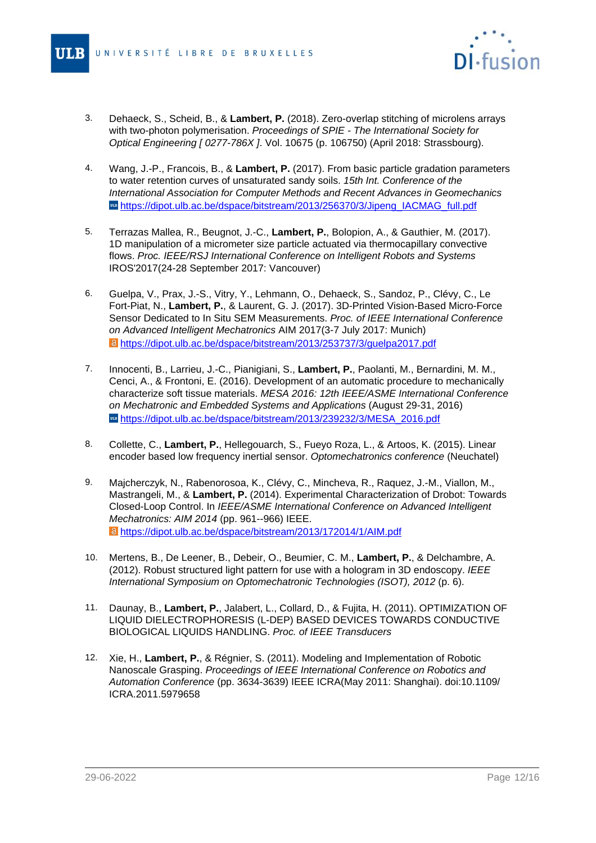

- $3.$ 3. Dehaeck, S., Scheid, B., & **Lambert, P.** (2018). Zero-overlap stitching of microlens arrays with two-photon polymerisation. Proceedings of SPIE - The International Society for Optical Engineering [ 0277-786X ]. Vol. 10675 (p. 106750) (April 2018: Strassbourg).
- 4. Wang, J.-P., Francois, B., & **Lambert, P.** (2017). From basic particle gradation parameters to water retention curves of unsaturated sandy soils. 15th Int. Conference of the International Association for Computer Methods and Recent Advances in Geomechanics [https://dipot.ulb.ac.be/dspace/bitstream/2013/256370/3/Jipeng\\_IACMAG\\_full.pdf](#page-0-0)
- 5. Terrazas Mallea, R., Beugnot, J.-C., **Lambert, P.**, Bolopion, A., & Gauthier, M. (2017). 1D manipulation of a micrometer size particle actuated via thermocapillary convective flows. Proc. IEEE/RSJ International Conference on Intelligent Robots and Systems IROS'2017(24-28 September 2017: Vancouver)
- 6. Guelpa, V., Prax, J.-S., Vitry, Y., Lehmann, O., Dehaeck, S., Sandoz, P., Clévy, C., Le Fort-Piat, N., **Lambert, P.**, & Laurent, G. J. (2017). 3D-Printed Vision-Based Micro-Force Sensor Dedicated to In Situ SEM Measurements. Proc. of IEEE International Conference on Advanced Intelligent Mechatronics AIM 2017(3-7 July 2017: Munich) [https://dipot.ulb.ac.be/dspace/bitstream/2013/253737/3/guelpa2017.pdf](#page-0-0)
- 7. Innocenti, B., Larrieu, J.-C., Pianigiani, S., **Lambert, P.**, Paolanti, M., Bernardini, M. M., Cenci, A., & Frontoni, E. (2016). Development of an automatic procedure to mechanically characterize soft tissue materials. MESA 2016: 12th IEEE/ASME International Conference on Mechatronic and Embedded Systems and Applications (August 29-31, 2016) **[https://dipot.ulb.ac.be/dspace/bitstream/2013/239232/3/MESA\\_2016.pdf](#page-0-0)**
- 8. Collette, C., **Lambert, P.**, Hellegouarch, S., Fueyo Roza, L., & Artoos, K. (2015). Linear encoder based low frequency inertial sensor. Optomechatronics conference (Neuchatel)
- 9. Majcherczyk, N., Rabenorosoa, K., Clévy, C., Mincheva, R., Raquez, J.-M., Viallon, M., Mastrangeli, M., & **Lambert, P.** (2014). Experimental Characterization of Drobot: Towards Closed-Loop Control. In IEEE/ASME International Conference on Advanced Intelligent Mechatronics: AIM 2014 (pp. 961--966) IEEE. [https://dipot.ulb.ac.be/dspace/bitstream/2013/172014/1/AIM.pdf](#page-0-0)
- 10. Mertens, B., De Leener, B., Debeir, O., Beumier, C. M., **Lambert, P.**, & Delchambre, A. (2012). Robust structured light pattern for use with a hologram in 3D endoscopy. IEEE International Symposium on Optomechatronic Technologies (ISOT), 2012 (p. 6).
- 11. Daunay, B., **Lambert, P.**, Jalabert, L., Collard, D., & Fujita, H. (2011). OPTIMIZATION OF LIQUID DIELECTROPHORESIS (L-DEP) BASED DEVICES TOWARDS CONDUCTIVE BIOLOGICAL LIQUIDS HANDLING. Proc. of IEEE Transducers
- 12. Xie, H., **Lambert, P.**, & Régnier, S. (2011). Modeling and Implementation of Robotic Nanoscale Grasping. Proceedings of IEEE International Conference on Robotics and Automation Conference (pp. 3634-3639) IEEE ICRA(May 2011: Shanghai). doi:10.1109/ ICRA.2011.5979658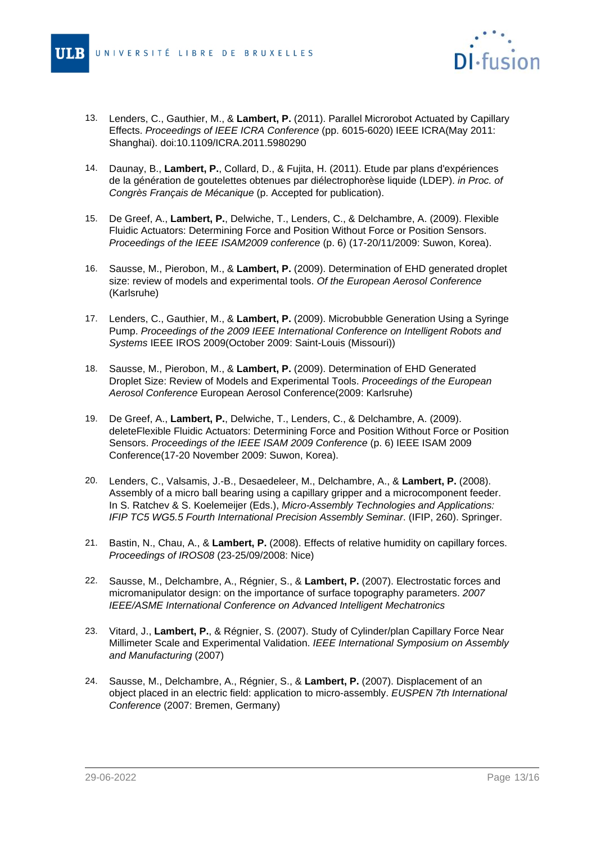

- 13. Lenders, C., Gauthier, M., & **Lambert, P.** (2011). Parallel Microrobot Actuated by Capillary Effects. Proceedings of IEEE ICRA Conference (pp. 6015-6020) IEEE ICRA(May 2011: Shanghai). doi:10.1109/ICRA.2011.5980290
- 14. Daunay, B., **Lambert, P.**, Collard, D., & Fujita, H. (2011). Etude par plans d'expériences de la génération de goutelettes obtenues par diélectrophorèse liquide (LDEP). in Proc. of Congrès Français de Mécanique (p. Accepted for publication).
- 15. De Greef, A., **Lambert, P.**, Delwiche, T., Lenders, C., & Delchambre, A. (2009). Flexible Fluidic Actuators: Determining Force and Position Without Force or Position Sensors. Proceedings of the IEEE ISAM2009 conference (p. 6) (17-20/11/2009: Suwon, Korea).
- 16. Sausse, M., Pierobon, M., & **Lambert, P.** (2009). Determination of EHD generated droplet size: review of models and experimental tools. Of the European Aerosol Conference (Karlsruhe)
- 17. Lenders, C., Gauthier, M., & **Lambert, P.** (2009). Microbubble Generation Using a Syringe Pump. Proceedings of the 2009 IEEE International Conference on Intelligent Robots and Systems IEEE IROS 2009(October 2009: Saint-Louis (Missouri))
- 18. Sausse, M., Pierobon, M., & **Lambert, P.** (2009). Determination of EHD Generated Droplet Size: Review of Models and Experimental Tools. Proceedings of the European Aerosol Conference European Aerosol Conference(2009: Karlsruhe)
- 19. De Greef, A., **Lambert, P.**, Delwiche, T., Lenders, C., & Delchambre, A. (2009). deleteFlexible Fluidic Actuators: Determining Force and Position Without Force or Position Sensors. Proceedings of the IEEE ISAM 2009 Conference (p. 6) IEEE ISAM 2009 Conference(17-20 November 2009: Suwon, Korea).
- 20. Lenders, C., Valsamis, J.-B., Desaedeleer, M., Delchambre, A., & **Lambert, P.** (2008). Assembly of a micro ball bearing using a capillary gripper and a microcomponent feeder. In S. Ratchev & S. Koelemeijer (Eds.), Micro-Assembly Technologies and Applications: IFIP TC5 WG5.5 Fourth International Precision Assembly Seminar. (IFIP, 260). Springer.
- 21. Bastin, N., Chau, A., & **Lambert, P.** (2008). Effects of relative humidity on capillary forces. Proceedings of IROS08 (23-25/09/2008: Nice)
- 22. Sausse, M., Delchambre, A., Régnier, S., & **Lambert, P.** (2007). Electrostatic forces and micromanipulator design: on the importance of surface topography parameters. 2007 IEEE/ASME International Conference on Advanced Intelligent Mechatronics
- 23. Vitard, J., **Lambert, P.**, & Régnier, S. (2007). Study of Cylinder/plan Capillary Force Near Millimeter Scale and Experimental Validation. IEEE International Symposium on Assembly and Manufacturing (2007)
- 24. Sausse, M., Delchambre, A., Régnier, S., & **Lambert, P.** (2007). Displacement of an object placed in an electric field: application to micro-assembly. EUSPEN 7th International Conference (2007: Bremen, Germany)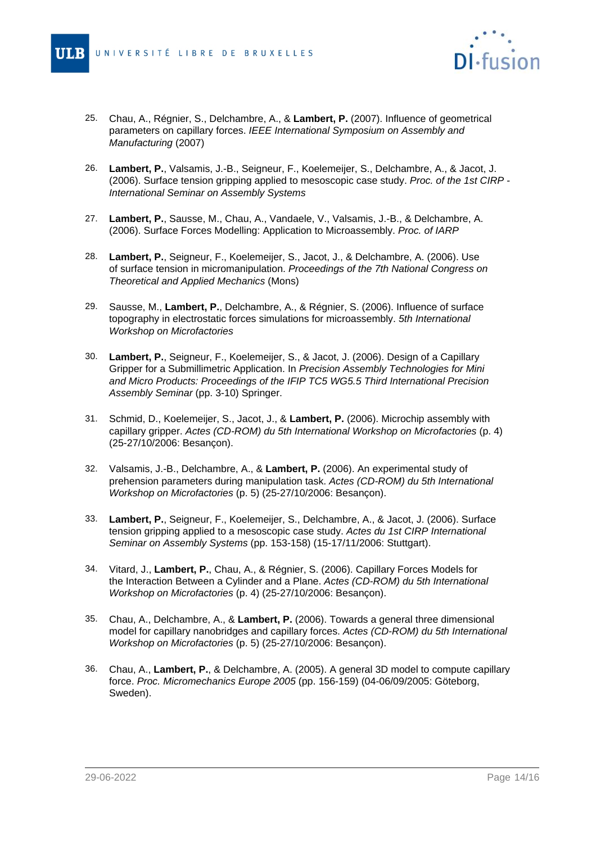

- 25. Chau, A., Régnier, S., Delchambre, A., & **Lambert, P.** (2007). Influence of geometrical parameters on capillary forces. IEEE International Symposium on Assembly and Manufacturing (2007)
- 26. **Lambert, P.**, Valsamis, J.-B., Seigneur, F., Koelemeijer, S., Delchambre, A., & Jacot, J. (2006). Surface tension gripping applied to mesoscopic case study. Proc. of the 1st CIRP - International Seminar on Assembly Systems
- 27. **Lambert, P.**, Sausse, M., Chau, A., Vandaele, V., Valsamis, J.-B., & Delchambre, A. (2006). Surface Forces Modelling: Application to Microassembly. Proc. of IARP
- 28. **Lambert, P.**, Seigneur, F., Koelemeijer, S., Jacot, J., & Delchambre, A. (2006). Use of surface tension in micromanipulation. Proceedings of the 7th National Congress on Theoretical and Applied Mechanics (Mons)
- 29. Sausse, M., **Lambert, P.**, Delchambre, A., & Régnier, S. (2006). Influence of surface topography in electrostatic forces simulations for microassembly. 5th International Workshop on Microfactories
- 30. **Lambert, P.**, Seigneur, F., Koelemeijer, S., & Jacot, J. (2006). Design of a Capillary Gripper for a Submillimetric Application. In Precision Assembly Technologies for Mini and Micro Products: Proceedings of the IFIP TC5 WG5.5 Third International Precision Assembly Seminar (pp. 3-10) Springer.
- 31. Schmid, D., Koelemeijer, S., Jacot, J., & **Lambert, P.** (2006). Microchip assembly with capillary gripper. Actes (CD-ROM) du 5th International Workshop on Microfactories (p. 4) (25-27/10/2006: Besançon).
- 32. Valsamis, J.-B., Delchambre, A., & **Lambert, P.** (2006). An experimental study of prehension parameters during manipulation task. Actes (CD-ROM) du 5th International Workshop on Microfactories (p. 5) (25-27/10/2006: Besançon).
- 33. **Lambert, P.**, Seigneur, F., Koelemeijer, S., Delchambre, A., & Jacot, J. (2006). Surface tension gripping applied to a mesoscopic case study. Actes du 1st CIRP International Seminar on Assembly Systems (pp. 153-158) (15-17/11/2006: Stuttgart).
- 34. Vitard, J., **Lambert, P.**, Chau, A., & Régnier, S. (2006). Capillary Forces Models for the Interaction Between a Cylinder and a Plane. Actes (CD-ROM) du 5th International Workshop on Microfactories (p. 4) (25-27/10/2006: Besançon).
- 35. Chau, A., Delchambre, A., & **Lambert, P.** (2006). Towards a general three dimensional model for capillary nanobridges and capillary forces. Actes (CD-ROM) du 5th International Workshop on Microfactories (p. 5) (25-27/10/2006: Besançon).
- 36. Chau, A., **Lambert, P.**, & Delchambre, A. (2005). A general 3D model to compute capillary force. Proc. Micromechanics Europe 2005 (pp. 156-159) (04-06/09/2005: Göteborg, Sweden).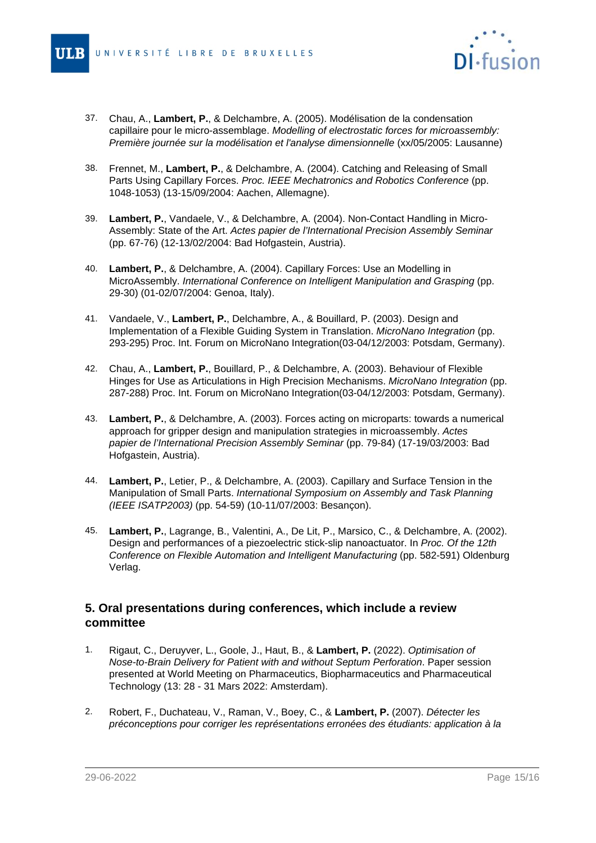

- 37. Chau, A., **Lambert, P.**, & Delchambre, A. (2005). Modélisation de la condensation capillaire pour le micro-assemblage. Modelling of electrostatic forces for microassembly: Première journée sur la modélisation et l'analyse dimensionnelle (xx/05/2005: Lausanne)
- 38. Frennet, M., **Lambert, P.**, & Delchambre, A. (2004). Catching and Releasing of Small Parts Using Capillary Forces. Proc. IEEE Mechatronics and Robotics Conference (pp. 1048-1053) (13-15/09/2004: Aachen, Allemagne).
- 39. **Lambert, P.**, Vandaele, V., & Delchambre, A. (2004). Non-Contact Handling in Micro-Assembly: State of the Art. Actes papier de l'International Precision Assembly Seminar (pp. 67-76) (12-13/02/2004: Bad Hofgastein, Austria).
- 40. **Lambert, P.**, & Delchambre, A. (2004). Capillary Forces: Use an Modelling in MicroAssembly. International Conference on Intelligent Manipulation and Grasping (pp. 29-30) (01-02/07/2004: Genoa, Italy).
- 41. Vandaele, V., **Lambert, P.**, Delchambre, A., & Bouillard, P. (2003). Design and Implementation of a Flexible Guiding System in Translation. MicroNano Integration (pp. 293-295) Proc. Int. Forum on MicroNano Integration(03-04/12/2003: Potsdam, Germany).
- 42. Chau, A., **Lambert, P.**, Bouillard, P., & Delchambre, A. (2003). Behaviour of Flexible Hinges for Use as Articulations in High Precision Mechanisms. MicroNano Integration (pp. 287-288) Proc. Int. Forum on MicroNano Integration(03-04/12/2003: Potsdam, Germany).
- 43. **Lambert, P.**, & Delchambre, A. (2003). Forces acting on microparts: towards a numerical approach for gripper design and manipulation strategies in microassembly. Actes papier de l'International Precision Assembly Seminar (pp. 79-84) (17-19/03/2003: Bad Hofgastein, Austria).
- 44. **Lambert, P.**, Letier, P., & Delchambre, A. (2003). Capillary and Surface Tension in the Manipulation of Small Parts. International Symposium on Assembly and Task Planning (IEEE ISATP2003) (pp. 54-59) (10-11/07/2003: Besançon).
- 45. **Lambert, P.**, Lagrange, B., Valentini, A., De Lit, P., Marsico, C., & Delchambre, A. (2002). Design and performances of a piezoelectric stick-slip nanoactuator. In Proc. Of the 12th Conference on Flexible Automation and Intelligent Manufacturing (pp. 582-591) Oldenburg Verlag.

## **5. Oral presentations during conferences, which include a review committee**

- 1. Rigaut, C., Deruyver, L., Goole, J., Haut, B., & **Lambert, P.** (2022). Optimisation of Nose-to-Brain Delivery for Patient with and without Septum Perforation. Paper session presented at World Meeting on Pharmaceutics, Biopharmaceutics and Pharmaceutical Technology (13: 28 - 31 Mars 2022: Amsterdam).
- 2. Robert, F., Duchateau, V., Raman, V., Boey, C., & **Lambert, P.** (2007). Détecter les préconceptions pour corriger les représentations erronées des étudiants: application à la